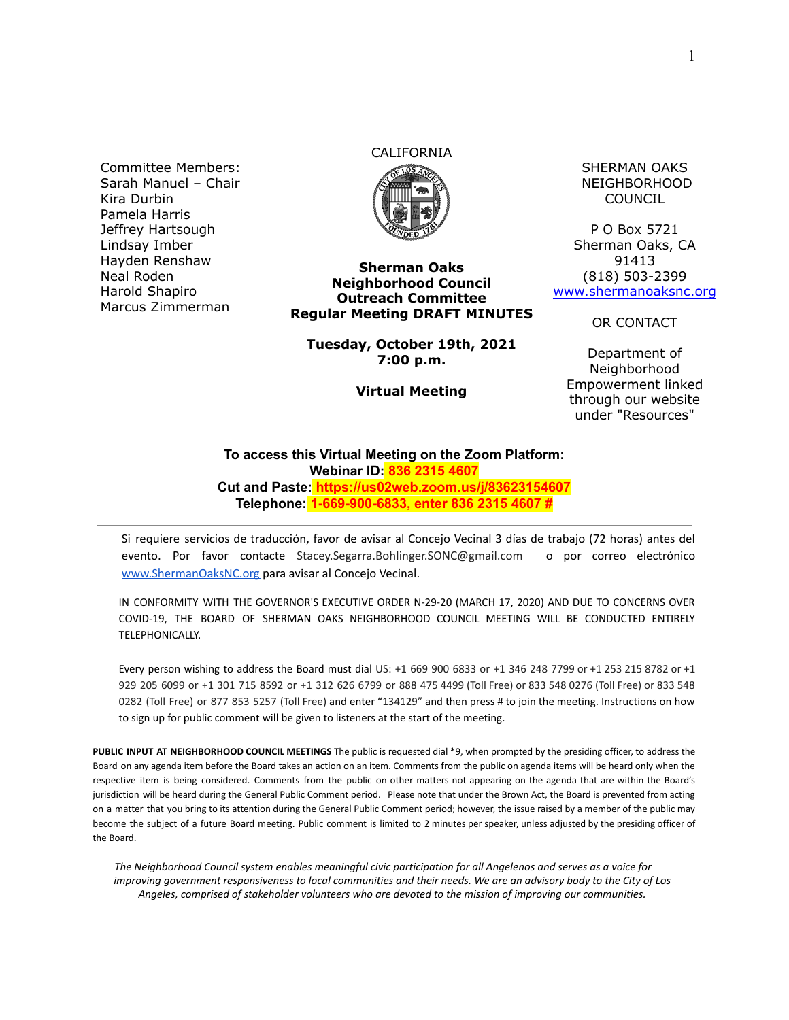Committee Members: Sarah Manuel – Chair Kira Durbin Pamela Harris Jeffrey Hartsough Lindsay Imber Hayden Renshaw Neal Roden Harold Shapiro Marcus Zimmerman

# CALIFORNIA



**Sherman Oaks Neighborhood Council Outreach Committee Regular Meeting DRAFT MINUTES**

**Tuesday, October 19th, 2021 7:00 p.m.**

**Virtual Meeting**

SHERMAN OAKS NEIGHBORHOOD COUNCIL

P O Box 5721 Sherman Oaks, CA 91413 (818) 503-2399 [www.shermanoaksnc.org](http://www.shermanoaksnc.org/)

OR CONTACT

Department of Neighborhood Empowerment linked through our website under "Resources"

#### **To access this Virtual Meeting on the Zoom Platform: Webinar ID: 836 2315 4607 Cut and Paste: https://us02web.zoom.us/j/83623154607 Telephone: 1-669-900-6833, enter 836 2315 4607 #**

Si requiere servicios de traducción, favor de avisar al Concejo Vecinal 3 días de trabajo (72 horas) antes del evento. Por favor contacte Stacey.Segarra.Bohlinger.SONC@gmail.com o por correo electrónico [www.ShermanOaksNC.org](http://www.shermanoaksnc.org) para avisar al Concejo Vecinal.

IN CONFORMITY WITH THE GOVERNOR'S EXECUTIVE ORDER N-29-20 (MARCH 17, 2020) AND DUE TO CONCERNS OVER COVID-19, THE BOARD OF SHERMAN OAKS NEIGHBORHOOD COUNCIL MEETING WILL BE CONDUCTED ENTIRELY TELEPHONICALLY.

Every person wishing to address the Board must dial US: +1 669 900 6833 or +1 346 248 7799 or +1 253 215 8782 or +1 929 205 6099 or +1 301 715 8592 or +1 312 626 6799 or 888 475 4499 (Toll Free) or 833 548 0276 (Toll Free) or 833 548 0282 (Toll Free) or 877 853 5257 (Toll Free) and enter "134129" and then press # to join the meeting. Instructions on how to sign up for public comment will be given to listeners at the start of the meeting.

**PUBLIC INPUT AT NEIGHBORHOOD COUNCIL MEETINGS** The public is requested dial \*9, when prompted by the presiding officer, to address the Board on any agenda item before the Board takes an action on an item. Comments from the public on agenda items will be heard only when the respective item is being considered. Comments from the public on other matters not appearing on the agenda that are within the Board's jurisdiction will be heard during the General Public Comment period. Please note that under the Brown Act, the Board is prevented from acting on a matter that you bring to its attention during the General Public Comment period; however, the issue raised by a member of the public may become the subject of a future Board meeting. Public comment is limited to 2 minutes per speaker, unless adjusted by the presiding officer of the Board.

*The Neighborhood Council system enables meaningful civic participation for all Angelenos and serves as a voice for improving government responsiveness to local communities and their needs. We are an advisory body to the City of Los Angeles, comprised of stakeholder volunteers who are devoted to the mission of improving our communities.*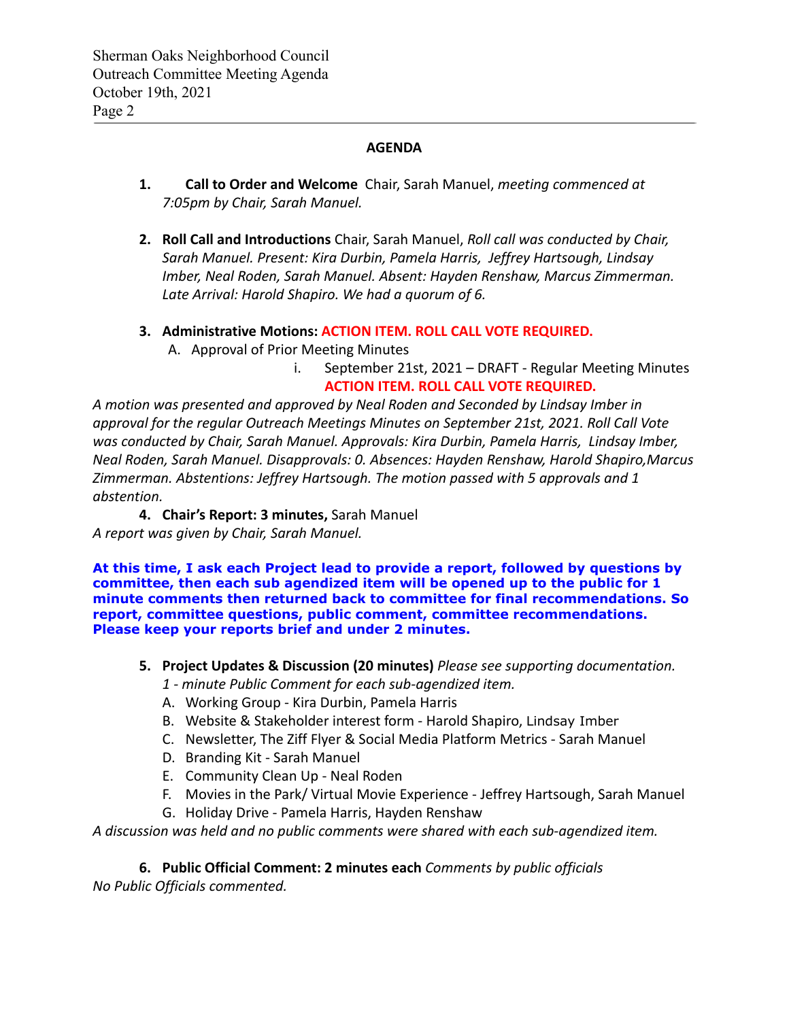### **AGENDA**

- **1. Call to Order and Welcome** Chair, Sarah Manuel, *meeting commenced at 7:05pm by Chair, Sarah Manuel.*
- **2. Roll Call and Introductions** Chair, Sarah Manuel, *Roll call was conducted by Chair, Sarah Manuel. Present: Kira Durbin, Pamela Harris, Jeffrey Hartsough, Lindsay Imber, Neal Roden, Sarah Manuel. Absent: Hayden Renshaw, Marcus Zimmerman. Late Arrival: Harold Shapiro. We had a quorum of 6.*
- **3. Administrative Motions: ACTION ITEM. ROLL CALL VOTE REQUIRED.**
	- A. Approval of Prior Meeting Minutes
		- i. September 21st, 2021 DRAFT Regular Meeting Minutes **ACTION ITEM. ROLL CALL VOTE REQUIRED.**

*A motion was presented and approved by Neal Roden and Seconded by Lindsay Imber in approval for the regular Outreach Meetings Minutes on September 21st, 2021. Roll Call Vote was conducted by Chair, Sarah Manuel. Approvals: Kira Durbin, Pamela Harris, Lindsay Imber, Neal Roden, Sarah Manuel. Disapprovals: 0. Absences: Hayden Renshaw, Harold Shapiro,Marcus Zimmerman. Abstentions: Jeffrey Hartsough. The motion passed with 5 approvals and 1 abstention.*

**4. Chair's Report: 3 minutes,** Sarah Manuel *A report was given by Chair, Sarah Manuel.*

**At this time, I ask each Project lead to provide a report, followed by questions by committee, then each sub agendized item will be opened up to the public for 1 minute comments then returned back to committee for final recommendations. So report, committee questions, public comment, committee recommendations. Please keep your reports brief and under 2 minutes.**

- **5. Project Updates & Discussion (20 minutes)** *Please see supporting documentation.*
	- *1 minute Public Comment for each sub-agendized item.*
	- A. Working Group Kira Durbin, Pamela Harris
	- B. Website & Stakeholder interest form Harold Shapiro, Lindsay Imber
	- C. Newsletter, The Ziff Flyer & Social Media Platform Metrics Sarah Manuel
	- D. Branding Kit Sarah Manuel
	- E. Community Clean Up Neal Roden
	- F. Movies in the Park/ Virtual Movie Experience Jeffrey Hartsough, Sarah Manuel
	- G. Holiday Drive Pamela Harris, Hayden Renshaw

*A discussion was held and no public comments were shared with each sub-agendized item.*

#### **6. Public Official Comment: 2 minutes each** *Comments by public officials*

*No Public Officials commented.*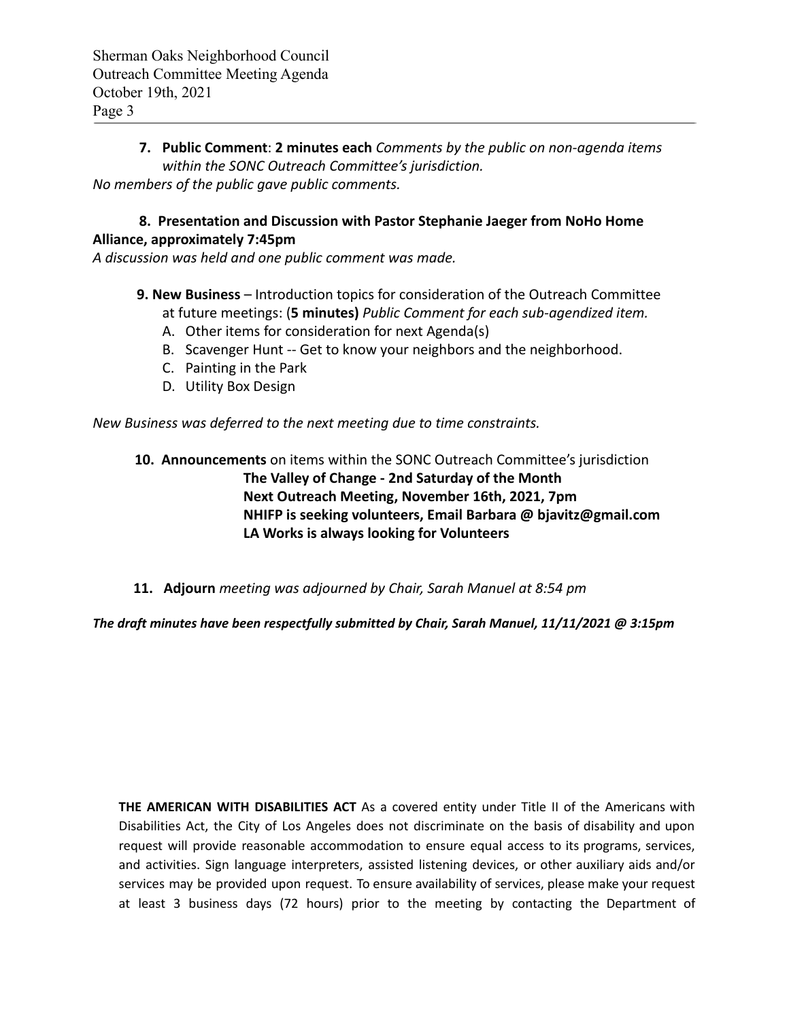**7. Public Comment**: **2 minutes each** *Comments by the public on non-agenda items within the SONC Outreach Committee's jurisdiction. No members of the public gave public comments.*

## **8. Presentation and Discussion with Pastor Stephanie Jaeger from NoHo Home Alliance, approximately 7:45pm**

*A discussion was held and one public comment was made.*

- **9. New Business** Introduction topics for consideration of the Outreach Committee at future meetings: (**5 minutes)** *Public Comment for each sub-agendized item.*
	- A. Other items for consideration for next Agenda(s)
	- B. Scavenger Hunt -- Get to know your neighbors and the neighborhood.
	- C. Painting in the Park
	- D. Utility Box Design

*New Business was deferred to the next meeting due to time constraints.*

# **10. Announcements** on items within the SONC Outreach Committee's jurisdiction **The Valley of Change - 2nd Saturday of the Month Next Outreach Meeting, November 16th, 2021, 7pm NHIFP is seeking volunteers, Email Barbara @ bjavitz@gmail.com LA Works is always looking for Volunteers**

**11. Adjourn** *meeting was adjourned by Chair, Sarah Manuel at 8:54 pm*

*The draft minutes have been respectfully submitted by Chair, Sarah Manuel, 11/11/2021 @ 3:15pm*

**THE AMERICAN WITH DISABILITIES ACT** As a covered entity under Title II of the Americans with Disabilities Act, the City of Los Angeles does not discriminate on the basis of disability and upon request will provide reasonable accommodation to ensure equal access to its programs, services, and activities. Sign language interpreters, assisted listening devices, or other auxiliary aids and/or services may be provided upon request. To ensure availability of services, please make your request at least 3 business days (72 hours) prior to the meeting by contacting the Department of